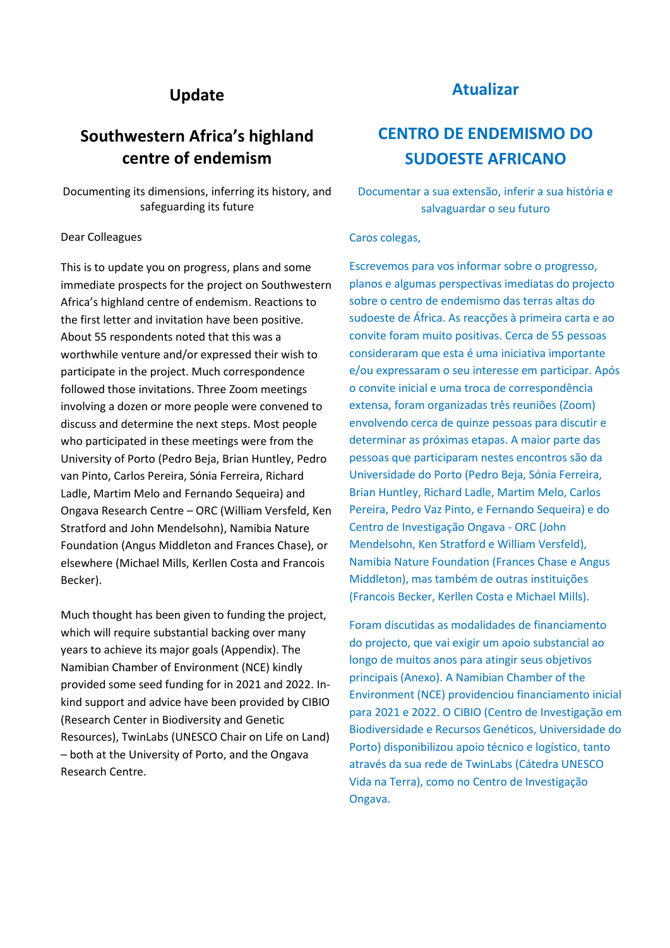# **Update**

# **Southwestern Africa's highland centre of endemism**

Documenting its dimensions, inferring its history, and safeguarding its future

### Dear Colleagues

This is to update you on progress, plans and some immediate prospects for the project on Southwestern Africa's highland centre of endemism. Reactions to the first letter and invitation have been positive. About 55 respondents noted that this was a worthwhile venture and/or expressed their wish to participate in the project. Much correspondence followed those invitations. Three Zoom meetings involving a dozen or more people were convened to discuss and determine the next steps. Most people who participated in these meetings were from the University of Porto (Pedro Beja, Brian Huntley, Pedro van Pinto, Carlos Pereira, Sónia Ferreira, Richard Ladle, Martim Melo and Fernando Sequeira) and Ongava Research Centre – ORC (William Versfeld, Ken Stratford and John Mendelsohn), Namibia Nature Foundation (Angus Middleton and Frances Chase), or elsewhere (Michael Mills, Kerllen Costa and Francois Becker).

Much thought has been given to funding the project, which will require substantial backing over many years to achieve its major goals (Appendix). The Namibian Chamber of Environment (NCE) kindly provided some seed funding for in 2021 and 2022. Inkind support and advice have been provided by CIBIO (Research Center in Biodiversity and Genetic Resources), TwinLabs (UNESCO Chair on Life on Land) – both at the University of Porto, and the Ongava Research Centre.

# **Atualizar**

# **CENTRO DE ENDEMISMO DO SUDOESTE AFRICANO**

Documentar a sua extensão, inferir a sua história e salvaguardar o seu futuro

## Caros colegas,

Escrevemos para vos informar sobre o progresso, planos e algumas perspectivas imediatas do projecto sobre o centro de endemismo das terras altas do sudoeste de África. As reacções à primeira carta e ao convite foram muito positivas. Cerca de 55 pessoas consideraram que esta é uma iniciativa importante e/ou expressaram o seu interesse em participar. Após o convite inicial e uma troca de correspondência extensa, foram organizadas três reuniões (Zoom) envolvendo cerca de quinze pessoas para discutir e determinar as próximas etapas. A maior parte das pessoas que participaram nestes encontros são da Universidade do Porto (Pedro Beja, Sónia Ferreira, Brian Huntley, Richard Ladle, Martim Melo, Carlos Pereira, Pedro Vaz Pinto, e Fernando Sequeira) e do Centro de Investigação Ongava - ORC (John Mendelsohn, Ken Stratford e William Versfeld), Namibia Nature Foundation (Frances Chase e Angus Middleton), mas também de outras instituições (Francois Becker, Kerllen Costa e Michael Mills).

Foram discutidas as modalidades de financiamento do projecto, que vai exigir um apoio substancial ao longo de muitos anos para atingir seus objetivos principais (Anexo). A Namibian Chamber of the Environment (NCE) providenciou financiamento inicial para 2021 e 2022. O CIBIO (Centro de Investigação em Biodiversidade e Recursos Genéticos, Universidade do Porto) disponibilizou apoio técnico e logístico, tanto através da sua rede de TwinLabs (Cátedra UNESCO Vida na Terra), como no Centro de Investigação Ongava.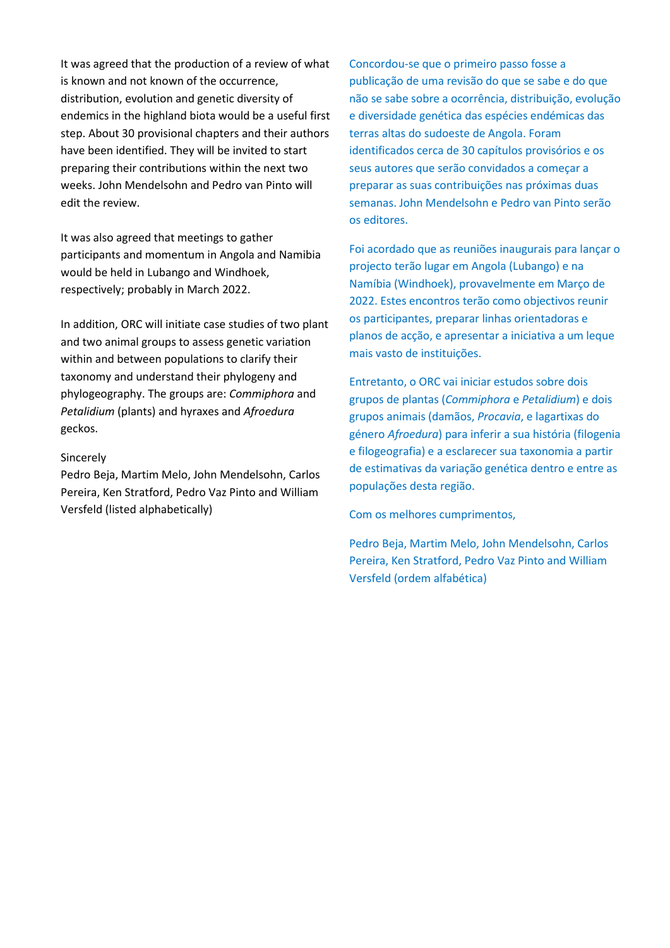It was agreed that the production of a review of what is known and not known of the occurrence, distribution, evolution and genetic diversity of endemics in the highland biota would be a useful first step. About 30 provisional chapters and their authors have been identified. They will be invited to start preparing their contributions within the next two weeks. John Mendelsohn and Pedro van Pinto will edit the review.

It was also agreed that meetings to gather participants and momentum in Angola and Namibia would be held in Lubango and Windhoek, respectively; probably in March 2022.

In addition, ORC will initiate case studies of two plant and two animal groups to assess genetic variation within and between populations to clarify their taxonomy and understand their phylogeny and phylogeography. The groups are: *Commiphora* and *Petalidium* (plants) and hyraxes and *Afroedura*  geckos.

## Sincerely

Pedro Beja, Martim Melo, John Mendelsohn, Carlos Pereira, Ken Stratford, Pedro Vaz Pinto and William Versfeld (listed alphabetically)

Concordou-se que o primeiro passo fosse a publicação de uma revisão do que se sabe e do que não se sabe sobre a ocorrência, distribuição, evolução e diversidade genética das espécies endémicas das terras altas do sudoeste de Angola. Foram identificados cerca de 30 capítulos provisórios e os seus autores que serão convidados a começar a preparar as suas contribuições nas próximas duas semanas. John Mendelsohn e Pedro van Pinto serão os editores.

Foi acordado que as reuniões inaugurais para lançar o projecto terão lugar em Angola (Lubango) e na Namíbia (Windhoek), provavelmente em Março de 2022. Estes encontros terão como objectivos reunir os participantes, preparar linhas orientadoras e planos de acção, e apresentar a iniciativa a um leque mais vasto de instituições.

Entretanto, o ORC vai iniciar estudos sobre dois grupos de plantas (*Commiphora* e *Petalidium*) e dois grupos animais (damãos, *Procavia*, e lagartixas do género *Afroedura*) para inferir a sua história (filogenia e filogeografia) e a esclarecer sua taxonomia a partir de estimativas da variação genética dentro e entre as populações desta região.

Com os melhores cumprimentos,

Pedro Beja, Martim Melo, John Mendelsohn, Carlos Pereira, Ken Stratford, Pedro Vaz Pinto and William Versfeld (ordem alfabética)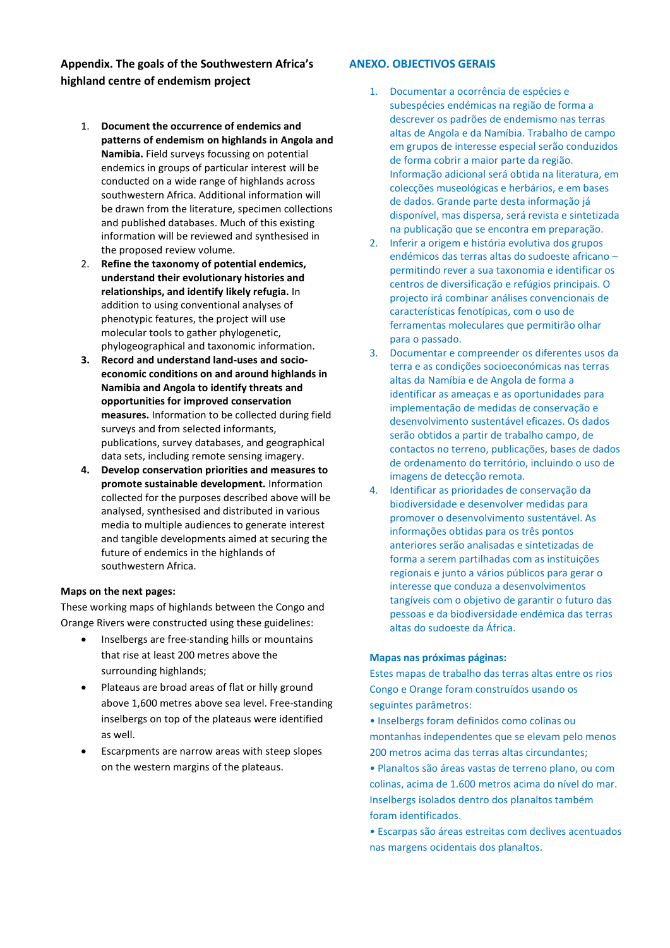**Appendix. The goals of the Southwestern Africa's highland centre of endemism project**

- 1. **Document the occurrence of endemics and patterns of endemism on highlands in Angola and Namibia.** Field surveys focussing on potential endemics in groups of particular interest will be conducted on a wide range of highlands across southwestern Africa. Additional information will be drawn from the literature, specimen collections and published databases. Much of this existing information will be reviewed and synthesised in the proposed review volume.
- 2. **Refine the taxonomy of potential endemics, understand their evolutionary histories and relationships, and identify likely refugia.** In addition to using conventional analyses of phenotypic features, the project will use molecular tools to gather phylogenetic, phylogeographical and taxonomic information.
- **3. Record and understand land-uses and socioeconomic conditions on and around highlands in Namibia and Angola to identify threats and opportunities for improved conservation measures.** Information to be collected during field surveys and from selected informants, publications, survey databases, and geographical data sets, including remote sensing imagery.
- **4. Develop conservation priorities and measures to promote sustainable development.** Information collected for the purposes described above will be analysed, synthesised and distributed in various media to multiple audiences to generate interest and tangible developments aimed at securing the future of endemics in the highlands of southwestern Africa.

#### **Maps on the next pages:**

These working maps of highlands between the Congo and Orange Rivers were constructed using these guidelines:

- Inselbergs are free-standing hills or mountains that rise at least 200 metres above the surrounding highlands;
- Plateaus are broad areas of flat or hilly ground above 1,600 metres above sea level. Free-standing inselbergs on top of the plateaus were identified as well.
- Escarpments are narrow areas with steep slopes on the western margins of the plateaus.

### **ANEXO. OBJECTIVOS GERAIS**

- 1. Documentar a ocorrência de espécies e subespécies endémicas na região de forma a descrever os padrões de endemismo nas terras altas de Angola e da Namíbia. Trabalho de campo em grupos de interesse especial serão conduzidos de forma cobrir a maior parte da região. Informação adicional será obtida na literatura, em colecções museológicas e herbários, e em bases de dados. Grande parte desta informação já disponível, mas dispersa, será revista e sintetizada na publicação que se encontra em preparação.
- 2. Inferir a origem e história evolutiva dos grupos endémicos das terras altas do sudoeste africano – permitindo rever a sua taxonomia e identificar os centros de diversificação e refúgios principais. O projecto irá combinar análises convencionais de características fenotípicas, com o uso de ferramentas moleculares que permitirão olhar para o passado.
- 3. Documentar e compreender os diferentes usos da terra e as condições socioeconómicas nas terras altas da Namíbia e de Angola de forma a identificar as ameaças e as oportunidades para implementação de medidas de conservação e desenvolvimento sustentável eficazes. Os dados serão obtidos a partir de trabalho campo, de contactos no terreno, publicações, bases de dados de ordenamento do território, incluindo o uso de imagens de detecção remota.
- 4. Identificar as prioridades de conservação da biodiversidade e desenvolver medidas para promover o desenvolvimento sustentável. As informações obtidas para os três pontos anteriores serão analisadas e sintetizadas de forma a serem partilhadas com as instituições regionais e junto a vários públicos para gerar o interesse que conduza a desenvolvimentos tangíveis com o objetivo de garantir o futuro das pessoas e da biodiversidade endémica das terras altas do sudoeste da África.

#### **Mapas nas próximas páginas:**

Estes mapas de trabalho das terras altas entre os rios Congo e Orange foram construídos usando os seguintes parâmetros:

• Inselbergs foram definidos como colinas ou montanhas independentes que se elevam pelo menos 200 metros acima das terras altas circundantes;

• Planaltos são áreas vastas de terreno plano, ou com colinas, acima de 1.600 metros acima do nível do mar. Inselbergs isolados dentro dos planaltos também foram identificados.

• Escarpas são áreas estreitas com declives acentuados nas margens ocidentais dos planaltos.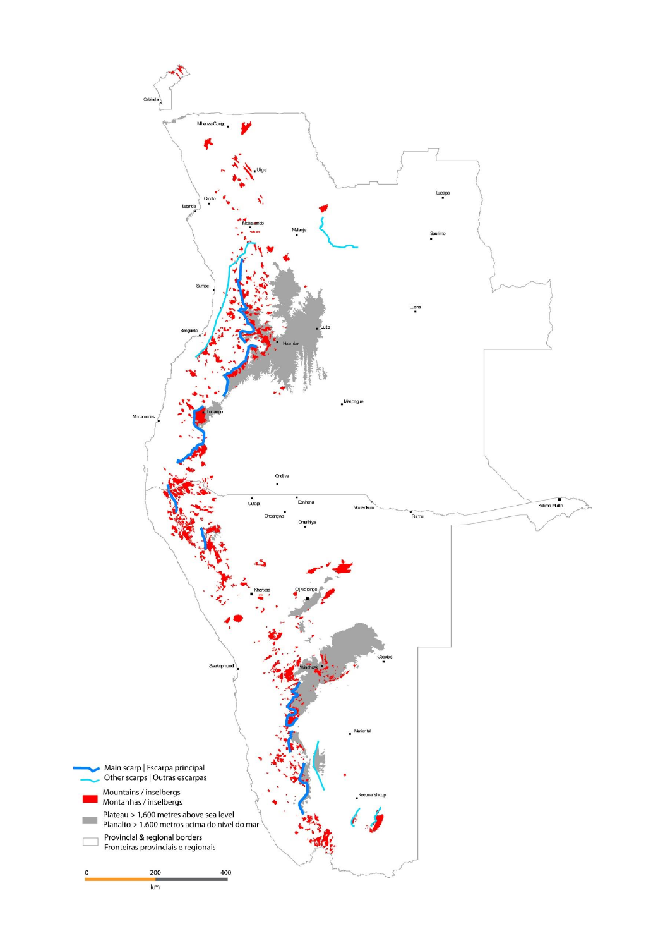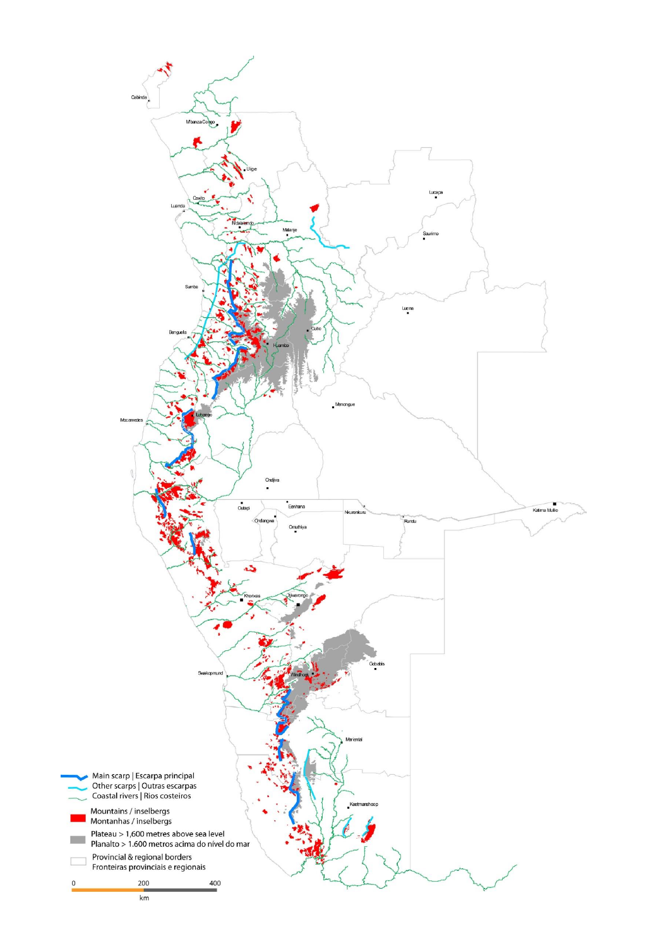